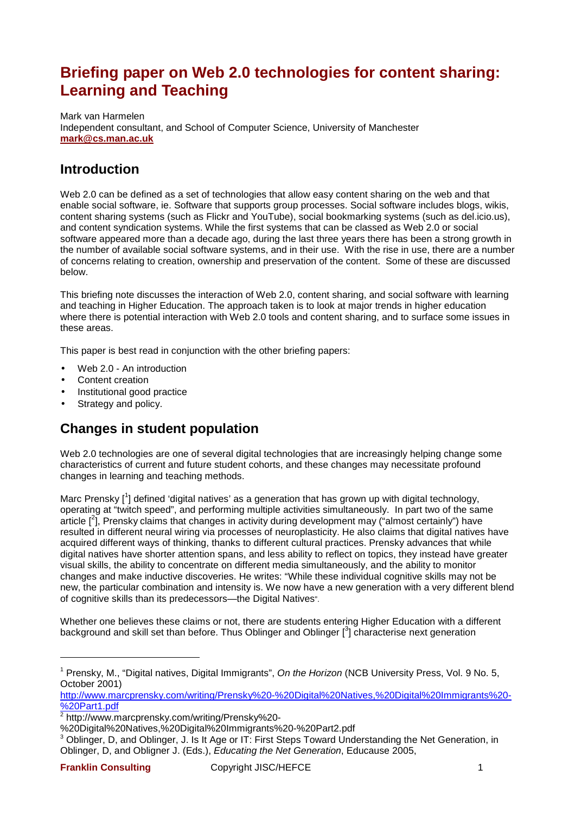# **Briefing paper on Web 2.0 technologies for content sharing: Learning and Teaching**

Mark van Harmelen Independent consultant, and School of Computer Science, University of Manchester **mark@cs.man.ac.uk**

## **Introduction**

Web 2.0 can be defined as a set of technologies that allow easy content sharing on the web and that enable social software, ie. Software that supports group processes. Social software includes blogs, wikis, content sharing systems (such as Flickr and YouTube), social bookmarking systems (such as del.icio.us), and content syndication systems. While the first systems that can be classed as Web 2.0 or social software appeared more than a decade ago, during the last three years there has been a strong growth in the number of available social software systems, and in their use. With the rise in use, there are a number of concerns relating to creation, ownership and preservation of the content. Some of these are discussed below.

This briefing note discusses the interaction of Web 2.0, content sharing, and social software with learning and teaching in Higher Education. The approach taken is to look at major trends in higher education where there is potential interaction with Web 2.0 tools and content sharing, and to surface some issues in these areas.

This paper is best read in conjunction with the other briefing papers:

- Web 2.0 An introduction
- Content creation
- Institutional good practice
- Strategy and policy.

## **Changes in student population**

Web 2.0 technologies are one of several digital technologies that are increasingly helping change some characteristics of current and future student cohorts, and these changes may necessitate profound changes in learning and teaching methods.

Marc Prensky [<sup>1</sup>] defined 'digital natives' as a generation that has grown up with digital technology, operating at "twitch speed", and performing multiple activities simultaneously. In part two of the same article  $[2]$ , Prensky claims that changes in activity during development may ("almost certainly") have resulted in different neural wiring via processes of neuroplasticity. He also claims that digital natives have acquired different ways of thinking, thanks to different cultural practices. Prensky advances that while digital natives have shorter attention spans, and less ability to reflect on topics, they instead have greater visual skills, the ability to concentrate on different media simultaneously, and the ability to monitor changes and make inductive discoveries. He writes: "While these individual cognitive skills may not be new, the particular combination and intensity is. We now have a new generation with a very different blend of cognitive skills than its predecessors—the Digital Natives".

Whether one believes these claims or not, there are students entering Higher Education with a different background and skill set than before. Thus Oblinger and Oblinger  $[^3]$  characterise next generation

l

<sup>&</sup>lt;sup>1</sup> Prensky, M., "Digital natives, Digital Immigrants", On the Horizon (NCB University Press, Vol. 9 No. 5, October 2001)

http://www.marcprensky.com/writing/Prensky%20-%20Digital%20Natives,%20Digital%20Immigrants%20- %20Part1.pdf

<sup>2</sup> http://www.marcprensky.com/writing/Prensky%20-

<sup>%20</sup>Digital%20Natives,%20Digital%20Immigrants%20-%20Part2.pdf

 $3$  Oblinger, D, and Oblinger, J. Is It Age or IT: First Steps Toward Understanding the Net Generation, in Oblinger, D, and Obligner J. (Eds.), Educating the Net Generation, Educause 2005,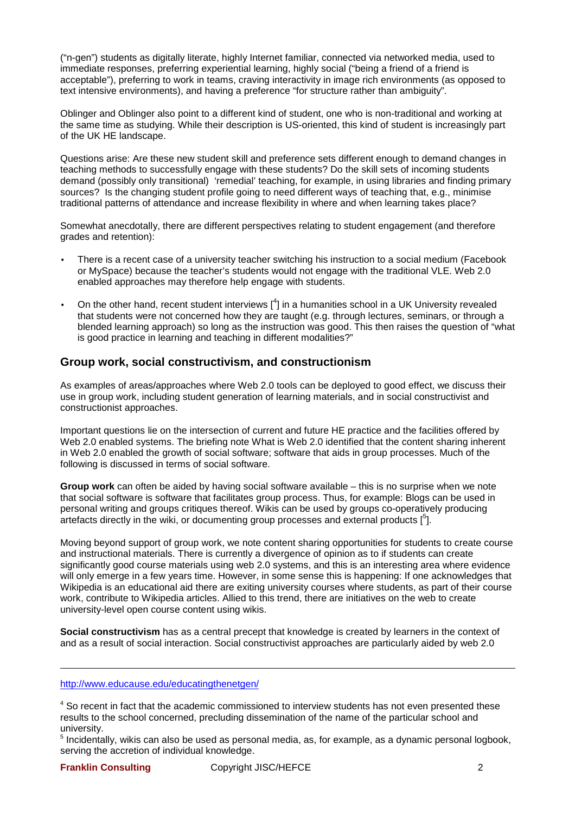("n-gen") students as digitally literate, highly Internet familiar, connected via networked media, used to immediate responses, preferring experiential learning, highly social ("being a friend of a friend is acceptable"), preferring to work in teams, craving interactivity in image rich environments (as opposed to text intensive environments), and having a preference "for structure rather than ambiguity".

Oblinger and Oblinger also point to a different kind of student, one who is non-traditional and working at the same time as studying. While their description is US-oriented, this kind of student is increasingly part of the UK HE landscape.

Questions arise: Are these new student skill and preference sets different enough to demand changes in teaching methods to successfully engage with these students? Do the skill sets of incoming students demand (possibly only transitional) 'remedial' teaching, for example, in using libraries and finding primary sources? Is the changing student profile going to need different ways of teaching that, e.g., minimise traditional patterns of attendance and increase flexibility in where and when learning takes place?

Somewhat anecdotally, there are different perspectives relating to student engagement (and therefore grades and retention):

- There is a recent case of a university teacher switching his instruction to a social medium (Facebook or MySpace) because the teacher's students would not engage with the traditional VLE. Web 2.0 enabled approaches may therefore help engage with students.
- On the other hand, recent student interviews  $\binom{4}{1}$  in a humanities school in a UK University revealed that students were not concerned how they are taught (e.g. through lectures, seminars, or through a blended learning approach) so long as the instruction was good. This then raises the question of "what is good practice in learning and teaching in different modalities?"

### **Group work, social constructivism, and constructionism**

As examples of areas/approaches where Web 2.0 tools can be deployed to good effect, we discuss their use in group work, including student generation of learning materials, and in social constructivist and constructionist approaches.

Important questions lie on the intersection of current and future HE practice and the facilities offered by Web 2.0 enabled systems. The briefing note What is Web 2.0 identified that the content sharing inherent in Web 2.0 enabled the growth of social software; software that aids in group processes. Much of the following is discussed in terms of social software.

**Group work** can often be aided by having social software available – this is no surprise when we note that social software is software that facilitates group process. Thus, for example: Blogs can be used in personal writing and groups critiques thereof. Wikis can be used by groups co-operatively producing artefacts directly in the wiki, or documenting group processes and external products [5].

Moving beyond support of group work, we note content sharing opportunities for students to create course and instructional materials. There is currently a divergence of opinion as to if students can create significantly good course materials using web 2.0 systems, and this is an interesting area where evidence will only emerge in a few years time. However, in some sense this is happening: If one acknowledges that Wikipedia is an educational aid there are exiting university courses where students, as part of their course work, contribute to Wikipedia articles. Allied to this trend, there are initiatives on the web to create university-level open course content using wikis.

**Social constructivism** has as a central precept that knowledge is created by learners in the context of and as a result of social interaction. Social constructivist approaches are particularly aided by web 2.0

#### http://www.educause.edu/educatingthenetgen/

<sup>4</sup> So recent in fact that the academic commissioned to interview students has not even presented these results to the school concerned, precluding dissemination of the name of the particular school and university.

<sup>5</sup> Incidentally, wikis can also be used as personal media, as, for example, as a dynamic personal logbook, serving the accretion of individual knowledge.

l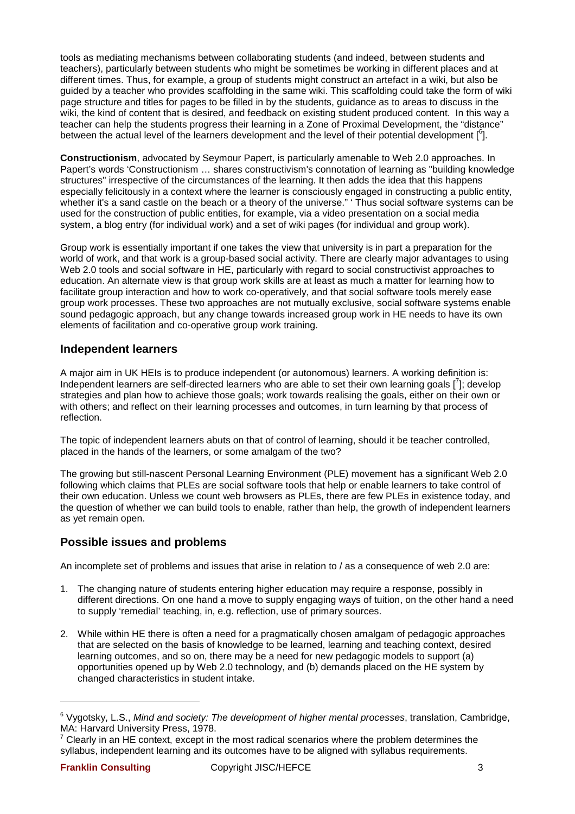tools as mediating mechanisms between collaborating students (and indeed, between students and teachers), particularly between students who might be sometimes be working in different places and at different times. Thus, for example, a group of students might construct an artefact in a wiki, but also be guided by a teacher who provides scaffolding in the same wiki. This scaffolding could take the form of wiki page structure and titles for pages to be filled in by the students, guidance as to areas to discuss in the wiki, the kind of content that is desired, and feedback on existing student produced content. In this way a teacher can help the students progress their learning in a Zone of Proximal Development, the "distance" between the actual level of the learners development and the level of their potential development [<sup>6</sup>].

**Constructionism**, advocated by Seymour Papert, is particularly amenable to Web 2.0 approaches. In Papert's words 'Constructionism … shares constructivism's connotation of learning as "building knowledge structures" irrespective of the circumstances of the learning. It then adds the idea that this happens especially felicitously in a context where the learner is consciously engaged in constructing a public entity, whether it's a sand castle on the beach or a theory of the universe." 'Thus social software systems can be used for the construction of public entities, for example, via a video presentation on a social media system, a blog entry (for individual work) and a set of wiki pages (for individual and group work).

Group work is essentially important if one takes the view that university is in part a preparation for the world of work, and that work is a group-based social activity. There are clearly major advantages to using Web 2.0 tools and social software in HE, particularly with regard to social constructivist approaches to education. An alternate view is that group work skills are at least as much a matter for learning how to facilitate group interaction and how to work co-operatively, and that social software tools merely ease group work processes. These two approaches are not mutually exclusive, social software systems enable sound pedagogic approach, but any change towards increased group work in HE needs to have its own elements of facilitation and co-operative group work training.

### **Independent learners**

A major aim in UK HEIs is to produce independent (or autonomous) learners. A working definition is: Independent learners are self-directed learners who are able to set their own learning goals [7]; develop strategies and plan how to achieve those goals; work towards realising the goals, either on their own or with others; and reflect on their learning processes and outcomes, in turn learning by that process of reflection.

The topic of independent learners abuts on that of control of learning, should it be teacher controlled, placed in the hands of the learners, or some amalgam of the two?

The growing but still-nascent Personal Learning Environment (PLE) movement has a significant Web 2.0 following which claims that PLEs are social software tools that help or enable learners to take control of their own education. Unless we count web browsers as PLEs, there are few PLEs in existence today, and the question of whether we can build tools to enable, rather than help, the growth of independent learners as yet remain open.

## **Possible issues and problems**

An incomplete set of problems and issues that arise in relation to / as a consequence of web 2.0 are:

- 1. The changing nature of students entering higher education may require a response, possibly in different directions. On one hand a move to supply engaging ways of tuition, on the other hand a need to supply 'remedial' teaching, in, e.g. reflection, use of primary sources.
- 2. While within HE there is often a need for a pragmatically chosen amalgam of pedagogic approaches that are selected on the basis of knowledge to be learned, learning and teaching context, desired learning outcomes, and so on, there may be a need for new pedagogic models to support (a) opportunities opened up by Web 2.0 technology, and (b) demands placed on the HE system by changed characteristics in student intake.

l

<sup>&</sup>lt;sup>6</sup> Vygotsky, L.S., Mind and society: The development of higher mental processes, translation, Cambridge, MA: Harvard University Press, 1978.

 $7$  Clearly in an HE context, except in the most radical scenarios where the problem determines the syllabus, independent learning and its outcomes have to be aligned with syllabus requirements.